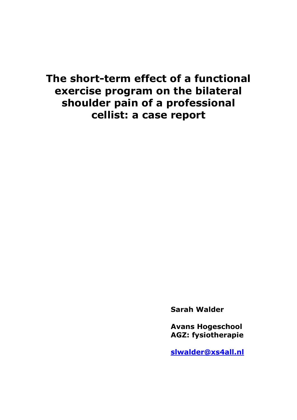# **The short-term effect of a functional exercise program on the bilateral shoulder pain of a professional cellist: a case report**

**Sarah Walder**

**Avans Hogeschool AGZ: fysiotherapie**

**[slwalder@xs4all.nl](mailto:slwalder@xs4all.nl)**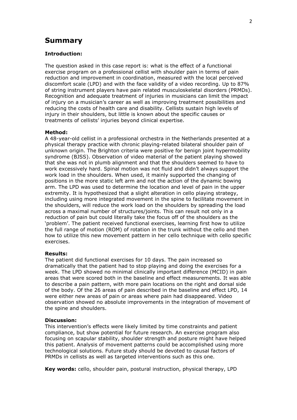# **Summary**

### **Introduction:**

The question asked in this case report is: what is the effect of a functional exercise program on a professional cellist with shoulder pain in terms of pain reduction and improvement in coordination, measured with the local perceived discomfort scale (LPD) and with the face validity of a video recording. Up to 87% of string instrument players have pain related musculoskeletal disorders (PRMDs). Recognition and adequate treatment of injuries in musicians can limit the impact of injury on a musician's career as well as improving treatment possibilities and reducing the costs of health care and disability. Cellists sustain high levels of injury in their shoulders, but little is known about the specific causes or treatments of cellists' injuries beyond clinical expertise.

#### **Method:**

A 48-year-old cellist in a professional orchestra in the Netherlands presented at a physical therapy practice with chronic playing-related bilateral shoulder pain of unknown origin. The Brighton criteria were positive for benign joint hypermobility syndrome (BJSS). Observation of video material of the patient playing showed that she was not in plumb alignment and that the shoulders seemed to have to work excessively hard. Spinal motion was not fluid and didn't always support the work load in the shoulders. When used, it mainly supported the changing of positions in the more static left arm and not the action of the dynamic bowing arm. The LPD was used to determine the location and level of pain in the upper extremity. It is hypothesized that a slight alteration in cello playing strategy, including using more integrated movement in the spine to facilitate movement in the shoulders, will reduce the work load on the shoulders by spreading the load across a maximal number of structures/joints. This can result not only in a reduction of pain but could literally take the focus off of the shoulders as the 'problem'. The patient received functional exercises, learning first how to utilize the full range of motion (ROM) of rotation in the trunk without the cello and then how to utilize this new movement pattern in her cello technique with cello specific exercises.

### **Results:**

The patient did functional exercises for 10 days. The pain increased so dramatically that the patient had to stop playing and doing the exercises for a week. The LPD showed no minimal clinically important difference (MCID) in pain areas that were scored both in the baseline and effect measurements. It was able to describe a pain pattern, with more pain locations on the right and dorsal side of the body. Of the 26 areas of pain described in the baseline and effect LPD, 14 were either new areas of pain or areas where pain had disappeared. Video observation showed no absolute improvements in the integration of movement of the spine and shoulders.

#### **Discussion:**

This intervention's effects were likely limited by time constraints and patient compliance, but show potential for future research. An exercise program also focusing on scapular stability, shoulder strength and posture might have helped this patient. Analysis of movement patterns could be accomplished using more technological solutions. Future study should be devoted to causal factors of PRMDs in cellists as well as targeted interventions such as this one.

**Key words:** cello, shoulder pain, postural instruction, physical therapy, LPD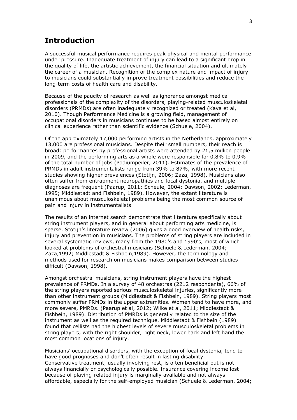# **Introduction**

A successful musical performance requires peak physical and mental performance under pressure. Inadequate treatment of injury can lead to a significant drop in the quality of life, the artistic achievement, the financial situation and ultimately the career of a musician. Recognition of the complex nature and impact of injury to musicians could substantially improve treatment possibilities and reduce the long-term costs of health care and disability.

Because of the paucity of research as well as ignorance amongst medical professionals of the complexity of the disorders, playing-related musculoskeletal disorders (PRMDs) are often inadequately recognized or treated (Kava et al, 2010). Though Performance Medicine is a growing field, management of occupational disorders in musicians continues to be based almost entirely on clinical experience rather than scientific evidence (Schuele, 2004).

Of the approximately 17,000 performing artists in the Netherlands, approximately 13,000 are professional musicians. Despite their small numbers, their reach is broad: performances by professional artists were attended by 21,5 million people in 2009, and the performing arts as a whole were responsible for 0.8% to 0.9% of the total number of jobs (Podiumpeiler, 2011). Estimates of the prevalence of PRMDs in adult instrumentalists range from 39% to 87%, with more recent studies showing higher prevalences (Stotijn, 2006; Zaza, 1998). Musicians also often suffer from entrapment neuropathies and focal dystonia, and multiple diagnoses are frequent (Paarup, 2011; Scheule, 2004; Dawson, 2002; Lederman, 1995; Middlestadt and Fishbein, 1989). However, the extant literature is unanimous about musculoskeletal problems being the most common source of pain and injury in instrumentalists.

The results of an internet search demonstrate that literature specifically about string instrument players, and in general about performing arts medicine, is sparse. Stotijn's literature review (2006) gives a good overview of health risks, injury and prevention in musicians. The problems of string players are included in several systematic reviews, many from the 1980's and 1990's, most of which looked at problems of orchestral musicians (Schuele & Lederman, 2004; Zaza,1992; Middlestadt & Fishbein,1989). However, the terminology and methods used for research on musicians makes comparison between studies difficult (Dawson, 1998).

Amongst orchestral musicians, string instrument players have the highest prevalence of PRMDs. In a survey of 48 orchestras (2212 respondents), 66% of the string players reported serious musculoskeletal injuries, significantly more than other instrument groups (Middlestadt & Fishbein, 1989). String players most commonly suffer PRMDs in the upper extremities. Women tend to have more, and more severe, PMRDs. (Paarup et al, 2012; Wilke et al, 2011; Middlestadt & Fishbein, 1989). Distribution of PMRDs is generally related to the size of the instrument as well as the required technique. Middlestadt & Fishbein (1989) found that cellists had the highest levels of severe musculoskeletal problems in string players, with the right shoulder, right neck, lower back and left hand the most common locations of injury.

Musicians' occupational disorders, with the exception of focal dystonia, tend to have good prognoses and don't often result in lasting disability. Conservative treatment, usually involving rest, is often beneficial but is not always financially or psychologically possible. Insurance covering income lost because of playing-related injury is marginally available and not always affordable, especially for the self-employed musician (Schuele & Lederman, 2004;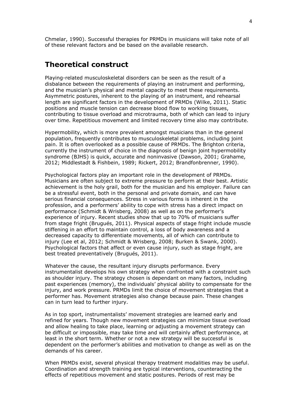Chmelar, 1990). Successful therapies for PRMDs in musicians will take note of all of these relevant factors and be based on the available research.

# **Theoretical construct**

Playing-related musculoskeletal disorders can be seen as the result of a disbalance between the requirements of playing an instrument and performing, and the musician's physical and mental capacity to meet these requirements. Asymmetric postures, inherent to the playing of an instrument, and rehearsal length are significant factors in the development of PRMDs (Wilke, 2011). Static positions and muscle tension can decrease blood flow to working tissues, contributing to tissue overload and microtrauma, both of which can lead to injury over time. Repetitious movement and limited recovery time also may contribute.

Hypermobility, which is more prevalent amongst musicians than in the general population, frequently contributes to musculoskeletal problems, including joint pain. It is often overlooked as a possible cause of PRMDs. The Brighton criteria, currently the instrument of choice in the diagnosis of benign joint hypermobility syndrome (BJHS) is quick, accurate and noninvasive (Dawson, 2001; Grahame, 2012; Middlestadt & Fishbein, 1989; Rickert, 2012; Brandfonbrenner, 1990).

Psychological factors play an important role in the development of PRMDs. Musicians are often subject to extreme pressure to perform at their best. Artistic achievement is the holy grail, both for the musician and his employer. Failure can be a stressful event, both in the personal and private domain, and can have serious financial consequences. Stress in various forms is inherent in the profession, and a performers' ability to cope with stress has a direct impact on performance (Schmidt & Wrisberg, 2008) as well as on the performer's experience of injury. Recent studies show that up to 70% of musicians suffer from stage fright (Brugués, 2011). Physical aspects of stage fright include muscle stiffening in an effort to maintain control, a loss of body awareness and a decreased capacity to differentiate movements, all of which can contribute to injury (Lee et al, 2012; Schmidt & Wrisberg, 2008; Burken & Swank, 2000). Psychological factors that affect or even cause injury, such as stage fright, are best treated preventatively (Brugués, 2011).

Whatever the cause, the resultant injury disrupts performance. Every instrumentalist develops his own strategy when confronted with a constraint such as shoulder injury. The strategy chosen is dependant on many factors, including past experiences (memory), the individuals' physical ability to compensate for the injury, and work pressure. PRMDs limit the choice of movement strategies that a performer has. Movement strategies also change because pain. These changes can in turn lead to further injury.

As in top sport, instrumentalists' movement strategies are learned early and refined for years. Though new movement strategies can minimize tissue overload and allow healing to take place, learning or adjusting a movement strategy can be difficult or impossible, may take time and will certainly affect performance, at least in the short term. Whether or not a new strategy will be successful is dependent on the performer's abilities and motivation to change as well as on the demands of his career.

When PRMDs exist, several physical therapy treatment modalities may be useful. Coordination and strength training are typical interventions, counteracting the effects of repetitious movement and static postures. Periods of rest may be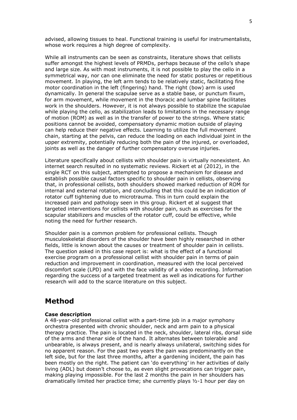advised, allowing tissues to heal. Functional training is useful for instrumentalists, whose work requires a high degree of complexity.

While all instruments can be seen as constraints, literature shows that cellists suffer amongst the highest levels of PRMDs, perhaps because of the cello's shape and large size. As with most instruments, it is not possible to play the cello in a symmetrical way, nor can one eliminate the need for static postures or repetitious movement. In playing, the left arm tends to be relatively static, facilitating fine motor coordination in the left (fingering) hand. The right (bow) arm is used dynamically. In general the scapulae serve as a stable base, or punctum fixum, for arm movement, while movement in the thoracic and lumbar spine facilitates work in the shoulders. However, it is not always possible to stabilize the scapulae while playing the cello, as stabilization leads to limitations in the necessary range of motion (ROM) as well as in the transfer of power to the strings. Where static positions cannot be avoided, compensatory dynamic motion outside of playing can help reduce their negative effects. Learning to utilize the full movement chain, starting at the pelvis, can reduce the loading on each individual joint in the upper extremity, potentially reducing both the pain of the injured, or overloaded, joints as well as the danger of further compensatory overuse injuries.

Literature specifically about cellists with shoulder pain is virtually nonexistent. An internet search resulted in no systematic reviews. Rickert et al (2012), in the single RCT on this subject, attempted to propose a mechanism for disease and establish possible causal factors specific to shoulder pain in cellists, observing that, in professional cellists, both shoulders showed marked reduction of ROM for internal and external rotation, and concluding that this could be an indication of rotator cuff tightening due to microtrauma. This in turn could explain the increased pain and pathology seen in this group. Rickert et al suggest that targeted interventions for cellists with shoulder pain, such as exercises for the scapular stabilizers and muscles of the rotator cuff, could be effective, while noting the need for further research.

Shoulder pain is a common problem for professional cellists. Though musculoskeletal disorders of the shoulder have been highly researched in other fields, little is known about the causes or treatment of shoulder pain in cellists. The question asked in this case report is: what is the effect of a functional exercise program on a professional cellist with shoulder pain in terms of pain reduction and improvement in coordination, measured with the local perceived discomfort scale (LPD) and with the face validity of a video recording. Information regarding the success of a targeted treatment as well as indications for further research will add to the scarce literature on this subject.

# **Method**

### **Case description**

A 48-year-old professional cellist with a part-time job in a major symphony orchestra presented with chronic shoulder, neck and arm pain to a physical therapy practice. The pain is located in the neck, shoulder, lateral ribs, dorsal side of the arms and thenar side of the hand. It alternates between tolerable and unbearable, is always present, and is nearly always unilateral, switching sides for no apparent reason. For the past two years the pain was predominantly on the left side, but for the last three months, after a gardening incident, the pain has been mostly on the right. The patient can 'do everything' in her activities of daily living (ADL) but doesn't choose to, as even slight provocations can trigger pain, making playing impossible. For the last 2 months the pain in her shoulders has dramatically limited her practice time; she currently plays ½-1 hour per day on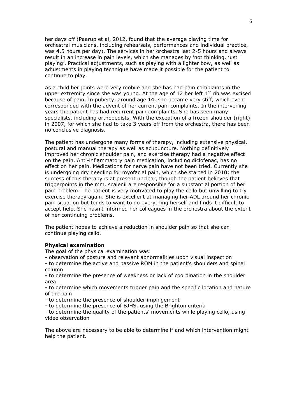her days off (Paarup et al, 2012, found that the average playing time for orchestral musicians, including rehearsals, performances and individual practice, was 4.5 hours per day). The services in her orchestra last 2-5 hours and always result in an increase in pain levels, which she manages by 'not thinking, just playing'. Practical adjustments, such as playing with a lighter bow, as well as adjustments in playing technique have made it possible for the patient to continue to play.

As a child her joints were very mobile and she has had pain complaints in the upper extremity since she was young. At the age of 12 her left  $1<sup>st</sup>$  rib was excised because of pain. In puberty, around age 14, she became very stiff, which event corresponded with the advent of her current pain complaints. In the intervening years the patient has had recurrent pain complaints. She has seen many specialists, including orthopedists. With the exception of a frozen shoulder (right) in 2007, for which she had to take 3 years off from the orchestra, there has been no conclusive diagnosis.

The patient has undergone many forms of therapy, including extensive physical, postural and manual therapy as well as acupuncture. Nothing definitively improved her chronic shoulder pain, and exercise therapy had a negative effect on the pain. Anti-inflammatory pain medication, including diclofenac, has no effect on her pain. Medications for nerve pain have not been tried. Currently she is undergoing dry needling for myofacial pain, which she started in 2010; the success of this therapy is at present unclear, though the patient believes that triggerpoints in the mm. scalenii are responsible for a substantial portion of her pain problem. The patient is very motivated to play the cello but unwilling to try exercise therapy again. She is excellent at managing her ADL around her chronic pain situation but tends to want to do everything herself and finds it difficult to accept help. She hasn't informed her colleagues in the orchestra about the extent of her continuing problems.

The patient hopes to achieve a reduction in shoulder pain so that she can continue playing cello.

#### **Physical examination**

The goal of the physical examination was:

- observation of posture and relevant abnormalities upon visual inspection

- to determine the active and passive ROM in the patient's shoulders and spinal column

- to determine the presence of weakness or lack of coordination in the shoulder area

- to determine which movements trigger pain and the specific location and nature of the pain

- to determine the presence of shoulder impingement

- to determine the presence of BJHS, using the Brighton criteria

- to determine the quality of the patients' movements while playing cello, using video observation

The above are necessary to be able to determine if and which intervention might help the patient.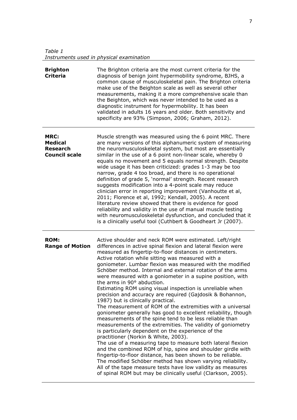*Table 1 Instruments used in physical examination*

| <b>Brighton</b><br><b>Criteria</b>                                       | The Brighton criteria are the most current criteria for the<br>diagnosis of benign joint hypermobility syndrome, BJHS, a<br>common cause of musculoskeletal pain. The Brighton criteria<br>make use of the Beighton scale as well as several other<br>measurements, making it a more comprehensive scale than<br>the Beighton, which was never intended to be used as a<br>diagnostic instrument for hypermobility. It has been<br>validated in adults 16 years and older. Both sensitivity and<br>specificity are 93% (Simpson, 2006; Graham, 2012).                                                                                                                                                                                                                                                                                                                                                                                                                                                                                                                                                                                                                                                                                                                                                                                                                              |
|--------------------------------------------------------------------------|------------------------------------------------------------------------------------------------------------------------------------------------------------------------------------------------------------------------------------------------------------------------------------------------------------------------------------------------------------------------------------------------------------------------------------------------------------------------------------------------------------------------------------------------------------------------------------------------------------------------------------------------------------------------------------------------------------------------------------------------------------------------------------------------------------------------------------------------------------------------------------------------------------------------------------------------------------------------------------------------------------------------------------------------------------------------------------------------------------------------------------------------------------------------------------------------------------------------------------------------------------------------------------------------------------------------------------------------------------------------------------|
| <b>MRC:</b><br><b>Medical</b><br><b>Research</b><br><b>Council scale</b> | Muscle strength was measured using the 6 point MRC. There<br>are many versions of this alphanumeric system of measuring<br>the neuromusculoskeletal system, but most are essentially<br>similar in the use of a 6 point non-linear scale, whereby 0<br>equals no movement and 5 equals normal strength. Despite<br>wide usage it has been criticized: grades 1-3 may be too<br>narrow, grade 4 too broad, and there is no operational<br>definition of grade 5, 'normal' strength. Recent research<br>suggests modification into a 4-point scale may reduce<br>clinician error in reporting improvement (Vanhoutte et al,<br>2011; Florence et al, 1992; Kendall, 2005). A recent<br>literature review showed that there is evidence for good<br>reliability and validity in the use of manual muscle testing<br>with neuromusculoskeletal dysfunction, and concluded that it<br>is a clinically useful tool (Cuthbert & Goodheart Jr (2007).                                                                                                                                                                                                                                                                                                                                                                                                                                      |
| <b>ROM:</b><br><b>Range of Motion</b>                                    | Active shoulder and neck ROM were estimated. Left/right<br>differences in active spinal flexion and lateral flexion were<br>measured as fingertip-to-floor distances in centimeters.<br>Active rotation while sitting was measured with a<br>goniometer. Lumbar flexion was measured with the modified<br>Schöber method. Internal and external rotation of the arms<br>were measured with a goniometer in a supine position, with<br>the arms in 90° abduction.<br>Estimating ROM using visual inspection is unreliable when<br>precision and accuracy are required (Gajdosik & Bohannon,<br>1987) but is clinically practical.<br>The measurement of ROM of the extremities with a universal<br>goniometer generally has good to excellent reliability, though<br>measurements of the spine tend to be less reliable than<br>measurements of the extremities. The validity of goniometry<br>is particularly dependent on the experience of the<br>practitioner (Norkin & White, 2003).<br>The use of a measuring tape to measure both lateral flexion<br>and the combined ROM of hip, spine and shoulder girdle with<br>fingertip-to-floor distance, has been shown to be reliable.<br>The modified Schöber method has shown varying reliability.<br>All of the tape measure tests have low validity as measures<br>of spinal ROM but may be clinically useful (Clarkson, 2005). |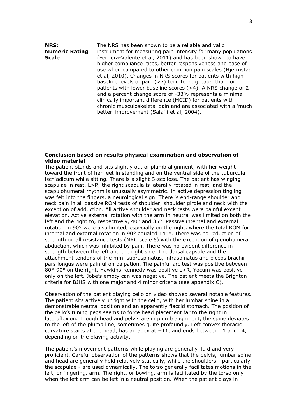| NRS:<br><b>Numeric Rating</b><br><b>Scale</b> | The NRS has been shown to be a reliable and valid<br>instrument for measuring pain intensity for many populations<br>(Ferriera-Valente et al, 2011) and has been shown to have<br>higher compliance rates, better responsiveness and ease of<br>use when compared to other common pain scales (Hjermstad<br>et al, 2010). Changes in NRS scores for patients with high<br>baseline levels of pain $($ >7 $)$ tend to be greater than for<br>patients with lower baseline scores (<4). A NRS change of 2<br>and a percent change score of -33% represents a minimal<br>clinically important difference (MCID) for patients with |
|-----------------------------------------------|--------------------------------------------------------------------------------------------------------------------------------------------------------------------------------------------------------------------------------------------------------------------------------------------------------------------------------------------------------------------------------------------------------------------------------------------------------------------------------------------------------------------------------------------------------------------------------------------------------------------------------|
|                                               | chronic musculoskeletal pain and are associated with a 'much<br>better' improvement (Salaffi et al, 2004).                                                                                                                                                                                                                                                                                                                                                                                                                                                                                                                     |

#### **Conclusion based on results physical examination and observation of video material**

The patient stands and sits slightly out of plumb alignment, with her weight toward the front of her feet in standing and on the ventral side of the tuburcula ischiadicum while sitting. There is a slight S-scoliose. The patient has winging scapulae in rest, L>R, the right scapula is laterally rotated in rest, and the scapulohumeral rhythm is unusually asymmetric. In active depression tingling was felt into the fingers, a neurological sign. There is end-range shoulder and neck pain in all passive ROM tests of shoulder, shoulder girdle and neck with the exception of adduction. All active shoulder and neck tests were painful except elevation. Active external rotation with the arm in neutral was limited on both the left and the right to, respectively, 40° and 35°. Passive internal and external rotation in 90° were also limited, especially on the right, where the total ROM for internal and external rotation in 90° equaled 141°. There was no reduction of strength on all resistance tests (MRC scale 5) with the exception of glenohumeral abduction, which was inhibited by pain. There was no evident difference in strength between the left and the right side. The dorsal capsule and the attachment tendons of the mm. supraspinatus, infraspinatus and biceps brachii pars longus were painful on palpation. The painful arc test was positive between 80°-90° on the right, Hawkins-Kennedy was positive L>R, Yocum was positive only on the left. Jobe's empty can was negative. The patient meets the Brighton criteria for BJHS with one major and 4 minor criteria (see appendix C).

Observation of the patient playing cello on video showed several notable features. The patient sits actively upright with the cello, with her lumbar spine in a demonstrable neutral position and an apparently flaccid stomach. The position of the cello's tuning pegs seems to force head placement far to the right in lateroflexion. Though head and pelvis are in plumb alignment, the spine deviates to the left of the plumb line, sometimes quite profoundly. Left convex thoracic curvature starts at the head, has an apex at  $\pm T1$ , and ends between T1 and T4, depending on the playing activity.

The patient's movement patterns while playing are generally fluid and very proficient. Careful observation of the patterns shows that the pelvis, lumbar spine and head are generally held relatively statically, while the shoulders - particularly the scapulae - are used dynamically. The torso generally facilitates motions in the left, or fingering, arm. The right, or bowing, arm is facilitated by the torso only when the left arm can be left in a neutral position. When the patient plays in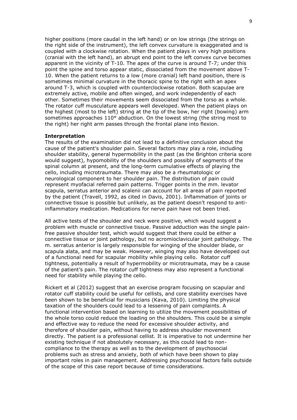higher positions (more caudal in the left hand) or on low strings (the strings on the right side of the instrument), the left convex curvature is exaggerated and is coupled with a clockwise rotation. When the patient plays in very high positions (cranial with the left hand), an abrupt end point to the left convex curve becomes apparent in the vicinity of T-10. The apex of the curve is around T-7; under this point the spine and torso appear static, dissociated from the movement above T-10. When the patient returns to a low (more cranial) left hand position, there is sometimes minimal curvature in the thoracic spine to the right with an apex around T-3, which is coupled with counterclockwise rotation. Both scapulae are extremely active, mobile and often winged, and work independently of each other. Sometimes their movements seem dissociated from the torso as a whole. The rotator cuff musculature appears well developed. When the patient plays on the highest (most to the left) string at the tip of the bow, her right (bowing) arm sometimes approaches 110° abduction. On the lowest string (the string most to the right) her right arm passes through the frontal plane into flexion.

#### **Interpretation**

The results of the examination did not lead to a definitive conclusion about the cause of the patient's shoulder pain. Several factors may play a role, including shoulder stability, general hypermobility in the past (as the Brighton criteria score would suggest), hypomobility of the shoulders and possibly of segments of the spinal column at present, and the long-term cumulative effects of playing the cello, including microtraumata. There may also be a rheumatologic or neurological component to her shoulder pain. The distribution of pain could represent myofacial referred pain patterns. Trigger points in the mm. levator scapula, serratus anterior and scalenii can account for all areas of pain reported by the patient (Travell, 1992, as cited in Davis, 2001). Inflammation of joints or connective tissue is possible but unlikely, as the patient doesn't respond to antiinflammatory medication. Medications for nerve pain have not been tried.

All active tests of the shoulder and neck were positive, which would suggest a problem with muscle or connective tissue. Passive adduction was the single painfree passive shoulder test, which would suggest that there could be either a connective tissue or joint pathology, but no acromioclavicular joint pathology. The m. serratus anterior is largely responsible for winging of the shoulder blade, or scapula alata, and may be weak. However, winging may also have developed out of a functional need for scapular mobility while playing cello. Rotator cuff tightness, potentially a result of hypermobility or microtraumata, may be a cause of the patient's pain. The rotator cuff tightness may also represent a functional need for stability while playing the cello.

Rickert et al (2012) suggest that an exercise program focusing on scapular and rotator cuff stability could be useful for cellists, and core stability exercises have been shown to be beneficial for musicians (Kava, 2010). Limiting the physical taxation of the shoulders could lead to a lessening of pain complaints. A functional intervention based on learning to utilize the movement possibilities of the whole torso could reduce the loading on the shoulders. This could be a simple and effective way to reduce the need for excessive shoulder activity, and therefore of shoulder pain, without having to address shoulder movement directly. The patient is a professional cellist. It is imperative to not undermine her existing technique if not absolutely necessary, as this could lead to noncompliance to the therapy as well as to the development of psychosocial problems such as stress and anxiety, both of which have been shown to play important roles in pain management. Addressing psychosocial factors falls outside of the scope of this case report because of time considerations.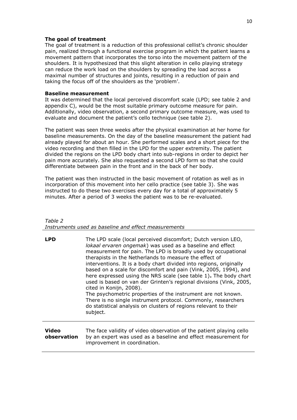### **The goal of treatment**

The goal of treatment is a reduction of this professional cellist's chronic shoulder pain, realized through a functional exercise program in which the patient learns a movement pattern that incorporates the torso into the movement pattern of the shoulders. It is hypothesized that this slight alteration in cello playing strategy can reduce the work load on the shoulders by spreading the load across a maximal number of structures and joints, resulting in a reduction of pain and taking the focus off of the shoulders as the 'problem'.

### **Baseline measurement**

It was determined that the local perceived discomfort scale (LPD; see table 2 and appendix C), would be the most suitable primary outcome measure for pain. Additionally, video observation, a second primary outcome measure, was used to evaluate and document the patient's cello technique (see table 2).

The patient was seen three weeks after the physical examination at her home for baseline measurements. On the day of the baseline measurement the patient had already played for about an hour. She performed scales and a short piece for the video recording and then filled in the LPD for the upper extremity. The patient divided the regions on the LPD body chart into sub-regions in order to depict her pain more accurately. She also requested a second LPD form so that she could differentiate between pain in the front and in the back of her body.

The patient was then instructed in the basic movement of rotation as well as in incorporation of this movement into her cello practice (see table 3). She was instructed to do these two exercises every day for a total of approximately 5 minutes. After a period of 3 weeks the patient was to be re-evaluated.

#### *Table 2 Instruments used as baseline and effect measurements*

| <b>LPD</b>           | The LPD scale (local perceived discomfort; Dutch version LEO,<br>lokaal ervaren ongemak) was used as a baseline and effect<br>measurement for pain. The LPD is broadly used by occupational<br>therapists in the Netherlands to measure the effect of<br>interventions. It is a body chart divided into regions, originally<br>based on a scale for discomfort and pain (Vink, 2005, 1994), and<br>here expressed using the NRS scale (see table 1). The body chart<br>used is based on van der Grinten's regional divisions (Vink, 2005,<br>cited in Konijn, 2008).<br>The psychometric properties of the instrument are not known.<br>There is no single instrument protocol. Commonly, researchers<br>do statistical analysis on clusters of regions relevant to their<br>subject. |
|----------------------|---------------------------------------------------------------------------------------------------------------------------------------------------------------------------------------------------------------------------------------------------------------------------------------------------------------------------------------------------------------------------------------------------------------------------------------------------------------------------------------------------------------------------------------------------------------------------------------------------------------------------------------------------------------------------------------------------------------------------------------------------------------------------------------|
| Video<br>observation | The face validity of video observation of the patient playing cello<br>by an expert was used as a baseline and effect measurement for<br>improvement in coordination.                                                                                                                                                                                                                                                                                                                                                                                                                                                                                                                                                                                                                 |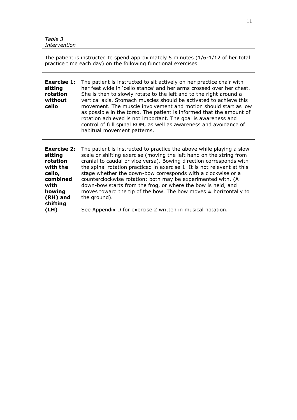The patient is instructed to spend approximately 5 minutes (1/6-1/12 of her total practice time each day) on the following functional exercises

| <b>Exercise 1:</b><br>sitting<br>rotation<br>without<br>cello | The patient is instructed to sit actively on her practice chair with<br>her feet wide in 'cello stance' and her arms crossed over her chest.<br>She is then to slowly rotate to the left and to the right around a<br>vertical axis. Stomach muscles should be activated to achieve this<br>movement. The muscle involvement and motion should start as low<br>as possible in the torso. The patient is informed that the amount of<br>rotation achieved is not important. The goal is awareness and<br>control of full spinal ROM, as well as awareness and avoidance of<br>habitual movement patterns. |
|---------------------------------------------------------------|----------------------------------------------------------------------------------------------------------------------------------------------------------------------------------------------------------------------------------------------------------------------------------------------------------------------------------------------------------------------------------------------------------------------------------------------------------------------------------------------------------------------------------------------------------------------------------------------------------|
|                                                               | <b>Exercise 2:</b> The nationt is instructed to practice the above while playing a slow                                                                                                                                                                                                                                                                                                                                                                                                                                                                                                                  |

| scale or shifting exercise (moving the left hand on the string from<br>sitting<br>cranial to caudal or vice versa). Bowing direction corresponds with<br>rotation<br>the spinal rotation practiced in exercise 1. It is not relevant at this<br>with the<br>stage whether the down-bow corresponds with a clockwise or a<br>cello,<br>combined<br>counterclockwise rotation: both may be experimented with. (A<br>down-bow starts from the frog, or where the bow is held, and<br>with<br>bowing<br>moves toward the tip of the bow. The bow moves $\pm$ horizontally to<br>(RH) and<br>the ground).<br>shifting | <b>Exercise 2:</b> | The patient is instructed to practice the above while playing a slow |
|------------------------------------------------------------------------------------------------------------------------------------------------------------------------------------------------------------------------------------------------------------------------------------------------------------------------------------------------------------------------------------------------------------------------------------------------------------------------------------------------------------------------------------------------------------------------------------------------------------------|--------------------|----------------------------------------------------------------------|
|                                                                                                                                                                                                                                                                                                                                                                                                                                                                                                                                                                                                                  |                    |                                                                      |
|                                                                                                                                                                                                                                                                                                                                                                                                                                                                                                                                                                                                                  |                    |                                                                      |
|                                                                                                                                                                                                                                                                                                                                                                                                                                                                                                                                                                                                                  |                    |                                                                      |
|                                                                                                                                                                                                                                                                                                                                                                                                                                                                                                                                                                                                                  |                    |                                                                      |
|                                                                                                                                                                                                                                                                                                                                                                                                                                                                                                                                                                                                                  |                    |                                                                      |
|                                                                                                                                                                                                                                                                                                                                                                                                                                                                                                                                                                                                                  |                    |                                                                      |
|                                                                                                                                                                                                                                                                                                                                                                                                                                                                                                                                                                                                                  |                    |                                                                      |
|                                                                                                                                                                                                                                                                                                                                                                                                                                                                                                                                                                                                                  |                    |                                                                      |
|                                                                                                                                                                                                                                                                                                                                                                                                                                                                                                                                                                                                                  |                    |                                                                      |
| See Appendix D for exercise 2 written in musical notation.<br>(LH)                                                                                                                                                                                                                                                                                                                                                                                                                                                                                                                                               |                    |                                                                      |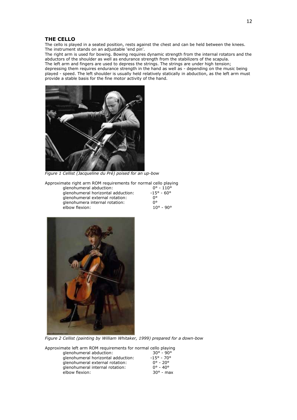#### **THE CELLO**

The cello is played in a seated position, rests against the chest and can be held between the knees. The instrument stands on an adjustable 'end pin'.

The right arm is used for bowing. Bowing requires dynamic strength from the internal rotators and the abductors of the shoulder as well as endurance strength from the stabilizers of the scapula.

The left arm and fingers are used to depress the strings. The strings are under high tension; depressing them requires endurance strength in the hand as well as - depending on the music being played - speed. The left shoulder is usually held relatively statically in abduction, as the left arm must provide a stable basis for the fine motor activity of the hand.



*Figure 1 Cellist (Jacqueline du Pré) poised for an up-bow*

Approximate right arm ROM requirements for normal cello playing<br>  $\frac{10^6 - 110^6}{10^{6} - 110^{6}}$ 

| glenohumeral abduction:            | $0^{\circ}$ - 110 $^{\circ}$ |
|------------------------------------|------------------------------|
| glenohumeral horizontal adduction: | $-15^{\circ} - 60^{\circ}$   |
| glenohumeral external rotation:    | n۰                           |
| glenohumera internal rotation:     | n۰                           |
| elbow flexion:                     | $10^{\circ} - 90^{\circ}$    |
|                                    |                              |



*Figure 2 Cellist (painting by William Whitaker, 1999) prepared for a down-bow*

Approximate left arm ROM requirements for normal cello playing<br>alenohumeral abduction:  $30^{\circ}$  -  $90^{\circ}$ 

| glenohumeral abduction:            | $30^{\circ} - 90^{\circ}$  |
|------------------------------------|----------------------------|
| glenohumeral horizontal adduction: | $-15^{\circ} - 70^{\circ}$ |
| glenohumeral external rotation:    | $0^{\circ} - 20^{\circ}$   |
| glenohumeral internal rotation:    | $0^{\circ} - 40^{\circ}$   |
| elbow flexion:                     | $30^{\circ}$ - max         |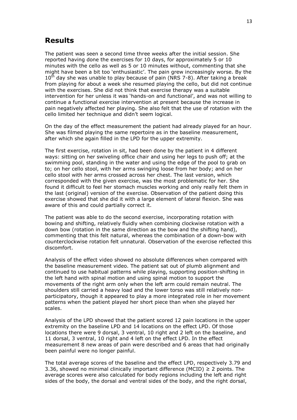# **Results**

The patient was seen a second time three weeks after the initial session. She reported having done the exercises for 10 days, for approximately 5 or 10 minutes with the cello as well as 5 or 10 minutes without, commenting that she might have been a bit too 'enthusiastic'. The pain grew increasingly worse. By the  $10<sup>th</sup>$  day she was unable to play because of pain (NRS 7-8). After taking a break from playing for about a week she resumed playing the cello, but did not continue with the exercises. She did not think that exercise therapy was a suitable intervention for her unless it was 'hands-on and functional', and was not willing to continue a functional exercise intervention at present because the increase in pain negatively affected her playing. She also felt that the use of rotation with the cello limited her technique and didn't seem logical.

On the day of the effect measurement the patient had already played for an hour. She was filmed playing the same repertoire as in the baseline measurement, after which she again filled in the LPD for the upper extremity.

The first exercise, rotation in sit, had been done by the patient in 4 different ways: sitting on her swiveling office chair and using her legs to push off; at the swimming pool, standing in the water and using the edge of the pool to grab on to; on her cello stool, with her arms swinging loose from her body; and on her cello stool with her arms crossed across her chest. The last version, which corresponded with the given exercise, was the most problematic for her. She found it difficult to feel her stomach muscles working and only really felt them in the last (original) version of the exercise. Observation of the patient doing this exercise showed that she did it with a large element of lateral flexion. She was aware of this and could partially correct it.

The patient was able to do the second exercise, incorporating rotation with bowing and shifting, relatively fluidly when combining clockwise rotation with a down bow (rotation in the same direction as the bow and the shifting hand), commenting that this felt natural, whereas the combination of a down-bow with counterclockwise rotation felt unnatural. Observation of the exercise reflected this discomfort.

Analysis of the effect video showed no absolute differences when compared with the baseline measurement video. The patient sat out of plumb alignment and continued to use habitual patterns while playing, supporting position-shifting in the left hand with spinal motion and using spinal motion to support the movements of the right arm only when the left arm could remain neutral. The shoulders still carried a heavy load and the lower torso was still relatively nonparticipatory, though it appeared to play a more integrated role in her movement patterns when the patient played her short piece than when she played her scales.

Analysis of the LPD showed that the patient scored 12 pain locations in the upper extremity on the baseline LPD and 14 locations on the effect LPD. Of those locations there were 9 dorsal, 3 ventral, 10 right and 2 left on the baseline, and 11 dorsal, 3 ventral, 10 right and 4 left on the effect LPD. In the effect measurement 8 new areas of pain were described and 6 areas that had originally been painful were no longer painful.

The total average scores of the baseline and the effect LPD, respectively 3.79 and 3.36, showed no minimal clinically important difference (MCID)  $\geq$  2 points. The average scores were also calculated for body regions including the left and right sides of the body, the dorsal and ventral sides of the body, and the right dorsal,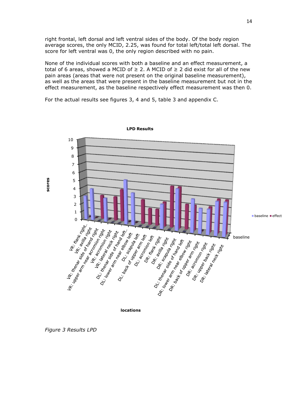right frontal, left dorsal and left ventral sides of the body. Of the body region average scores, the only MCID, 2.25, was found for total left/total left dorsal. The score for left ventral was 0, the only region described with no pain.

None of the individual scores with both a baseline and an effect measurement, a total of 6 areas, showed a MCID of  $\geq$  2. A MCID of  $\geq$  2 did exist for all of the new pain areas (areas that were not present on the original baseline measurement), as well as the areas that were present in the baseline measurement but not in the effect measurement, as the baseline respectively effect measurement was then 0.

For the actual results see figures 3, 4 and 5, table 3 and appendix C.



**locations**

*Figure 3 Results LPD*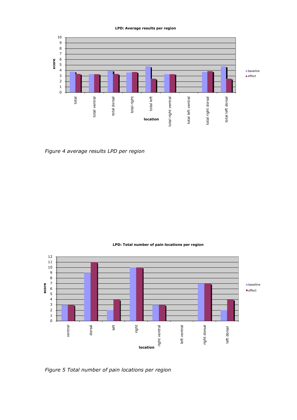#### **LPD: Average results per region**



*Figure 4 average results LPD per region*

#### **LPD: Total number of pain locations per region**



*Figure 5 Total number of pain locations per region*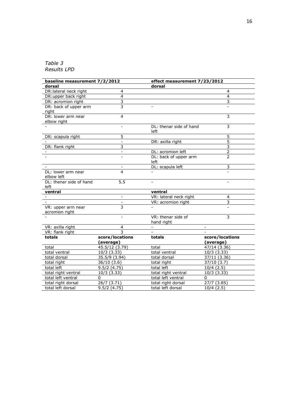# *Table 3 Results LPD*

| baseline measurement 7/2/2012        |                          | effect measurement 7/23/2012     |                          |
|--------------------------------------|--------------------------|----------------------------------|--------------------------|
| dorsal                               |                          | dorsal                           |                          |
| DR: lateral neck right               | $\overline{4}$           |                                  | 4                        |
| DR:upper back right                  | $\overline{4}$           |                                  | 4                        |
| DR: acromion right                   | 3                        |                                  | 3                        |
| DR: back of upper arm<br>right       | 3                        |                                  |                          |
| DR: lower arm near<br>elbow right    | 4                        |                                  | 3                        |
|                                      | $\overline{a}$           | DL: thenar side of hand<br>left  | 3                        |
| DR: scapula right                    | 5                        |                                  | 5                        |
|                                      | $\blacksquare$           | DR: axilla right                 | 5                        |
| DR: flank right                      | $\overline{3}$           |                                  | 3                        |
|                                      | $\overline{\phantom{a}}$ | DL: acromion left                | $\overline{2}$           |
|                                      |                          | DL: back of upper arm<br>left    | $\overline{\phantom{a}}$ |
|                                      | $\blacksquare$           | DL: scapula left                 | 3                        |
| DL: lower arm near<br>elbow left     | 4                        |                                  |                          |
| DL: thenar side of hand<br>left      | 5.5                      | $\sim$                           | $\equiv$                 |
| ventral                              |                          | ventral                          |                          |
|                                      |                          | VR: lateral neck right           | 4                        |
|                                      |                          | VR: acromion right               | $\overline{3}$           |
| VR: upper arm near<br>acromion right | $\overline{3}$           |                                  |                          |
|                                      |                          | VR: thenar side of<br>hand right | 3                        |
| VR: axilla right                     | 4                        | $\sim$                           | $\sim$                   |
| VR: flank right                      | 3                        |                                  |                          |
| totals                               | score/locations          | totals                           | score/locations          |
|                                      | (average)                |                                  | (average)                |
| total                                | 45.5/12 (3.79)           | total                            | 47/14 (3.36)             |
| total ventral                        | 10/3(3.33)               | total ventral                    | 10/3(3.33)               |
| total dorsal                         | 35.5/9 (3.94)            | total dorsal                     | 37/11 (3.36)             |
| total right                          | 36/10(3.6)               | total right                      | $37/10$ (3.7)            |
| total left                           | 9.5/2(4.75)              | total left                       | 10/4(2.5)                |
| total right ventral                  | 10/3 (3.33)              | total right ventral              | 10/3(3.33)               |
| total left ventral                   | 0                        | total left ventral               | 0                        |
| total right dorsal                   | 26/7 (3.71)              | total right dorsal               | 27/7 (3.85)              |
| total left dorsal                    | 9.5/2(4.75)              | total left dorsal                | 10/4(2.5)                |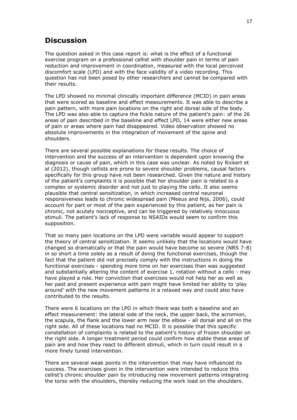# **Discussion**

The question asked in this case report is: what is the effect of a functional exercise program on a professional cellist with shoulder pain in terms of pain reduction and improvement in coordination, measured with the local perceived discomfort scale (LPD) and with the face validity of a video recording. This question has not been posed by other researchers and cannot be compared with their results.

The LPD showed no minimal clinically important difference (MCID) in pain areas that were scored as baseline and effect measurements. It was able to describe a pain pattern, with more pain locations on the right and dorsal side of the body. The LPD was also able to capture the fickle nature of the patient's pain: of the 26 areas of pain described in the baseline and effect LPD, 14 were either new areas of pain or areas where pain had disappeared. Video observation showed no absolute improvements in the integration of movement of the spine and shoulders.

There are several possible explanations for these results. The choice of intervention and the success of an intervention is dependent upon knowing the diagnosis or cause of pain, which in this case was unclear. As noted by Rickert et al (2012), though cellists are prone to severe shoulder problems, causal factors specifically for this group have not been researched. Given the nature and history of the patient's complaints it is possible that her shoulder pain is related to a complex or systemic disorder and not just to playing the cello. It also seems plausible that central sensitization, in which increased central neuronal responsiveness leads to chronic widespread pain (Meeus and Nijs, 2006), could account for part or most of the pain experienced by this patient, as her pain is chronic, not acutely nociceptive, and can be triggered by relatively innocuous stimuli. The patient's lack of response to NSAIDs would seem to confirm this supposition.

That so many pain locations on the LPD were variable would appear to support the theory of central sensitization. It seems unlikely that the locations would have changed so dramatically or that the pain would have become so severe (NRS 7-8) in so short a time solely as a result of doing the functional exercises, though the fact that the patient did not precisely comply with the instructions in doing the functional exercises - spending more time on her exercises than was suggested and substantially altering the content of exercise 1, rotation without a cello - may have played a role. Her conviction that exercises would not help her as well as her past and present experience with pain might have limited her ability to 'play around' with the new movement patterns in a relaxed way and could also have contributed to the results.

There were 6 locations on the LPD in which there was both a baseline and an effect measurement: the lateral side of the neck, the upper back, the acromion, the scapula, the flank and the lower arm near the elbow - all dorsal and all on the right side. All of these locations had no MCID. It is possible that this specific constellation of complaints is related to the patient's history of frozen shoulder on the right side. A longer treatment period could confirm how stable these areas of pain are and how they react to different stimuli, which in turn could result in a more finely tuned intervention.

There are several weak points in the intervention that may have influenced its success. The exercises given in the intervention were intended to reduce this cellist's chronic shoulder pain by introducing new movement patterns integrating the torso with the shoulders, thereby reducing the work load on the shoulders.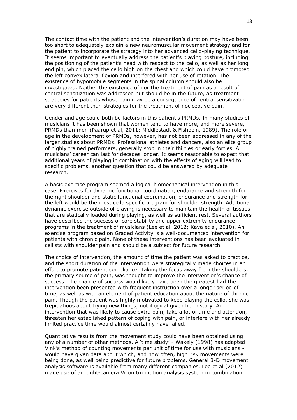The contact time with the patient and the intervention's duration may have been too short to adequately explain a new neuromuscular movement strategy and for the patient to incorporate the strategy into her advanced cello-playing technique. It seems important to eventually address the patient's playing posture, including the positioning of the patient's head with respect to the cello, as well as her long end pin, which placed the cello high on the chest and which could have promoted the left convex lateral flexion and interfered with her use of rotation. The existence of hypomobile segments in the spinal column should also be investigated. Neither the existence of nor the treatment of pain as a result of central sensitization was addressed but should be in the future, as treatment strategies for patients whose pain may be a consequence of central sensitization are very different than strategies for the treatment of nociceptive pain.

Gender and age could both be factors in this patient's PRMDs. In many studies of musicians it has been shown that women tend to have more, and more severe, PRMDs than men (Paarup et al, 2011; Middlestadt & Fishbein, 1989). The role of age in the development of PRMDs, however, has not been addressed in any of the larger studies about PRMDs. Professional athletes and dancers, also an elite group of highly trained performers, generally stop in their thirties or early forties. A musicians' career can last for decades longer. It seems reasonable to expect that additional years of playing in combination with the effects of aging will lead to specific problems, another question that could be answered by adequate research.

A basic exercise program seemed a logical biomechanical intervention in this case. Exercises for dynamic functional coordination, endurance and strength for the right shoulder and static functional coordination, endurance and strength for the left would be the most cello specific program for shoulder strength. Additional dynamic exercise outside of playing is necessary to maintain the health of tissues that are statically loaded during playing, as well as sufficient rest. Several authors have described the success of core stability and upper extremity endurance programs in the treatment of musicians (Lee et al, 2012; Kava et al, 2010). An exercise program based on Graded Activity is a well-documented intervention for patients with chronic pain. None of these interventions has been evaluated in cellists with shoulder pain and should be a subject for future research.

The choice of intervention, the amount of time the patient was asked to practice, and the short duration of the intervention were strategically made choices in an effort to promote patient compliance. Taking the focus away from the shoulders, the primary source of pain, was thought to improve the intervention's chance of success. The chance of success would likely have been the greatest had the intervention been presented with frequent instruction over a longer period of time, as well as with an element of patient education about the nature of chronic pain. Though the patient was highly motivated to keep playing the cello, she was trepidatious about trying new things, not illogical given her history. An intervention that was likely to cause extra pain, take a lot of time and attention, threaten her established pattern of coping with pain, or interfere with her already limited practice time would almost certainly have failed.

Quantitative results from the movement study could have been obtained using any of a number of other methods. A 'time study' - Wakely (1998) has adapted Vink's method of counting movements per unit of time for use with musicians would have given data about which, and how often, high risk movements were being done, as well being predictive for future problems. General 3-D movement analysis software is available from many different companies. Lee et al (2012) made use of an eight-camera Vicon tm motion analysis system in combination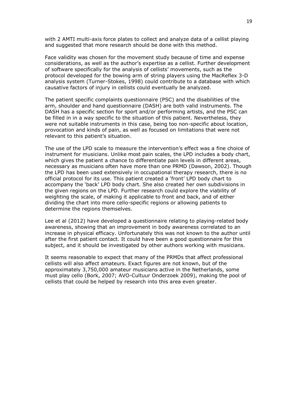with 2 AMTI multi-axis force plates to collect and analyze data of a cellist playing and suggested that more research should be done with this method.

Face validity was chosen for the movement study because of time and expense considerations, as well as the author's expertise as a cellist. Further development of software specifically for the analysis of cellists' movements, such as the protocol developed for the bowing arm of string players using the MacReflex 3-D analysis system (Turner-Stokes, 1998) could contribute to a database with which causative factors of injury in cellists could eventually be analyzed.

The patient specific complaints questionnaire (PSC) and the disabilities of the arm, shoulder and hand questionnaire (DASH) are both valid instruments. The DASH has a specific section for sport and/or performing artists, and the PSC can be filled in in a way specific to the situation of this patient. Nevertheless, they were not suitable instruments in this case, being too non-specific about location, provocation and kinds of pain, as well as focused on limitations that were not relevant to this patient's situation.

The use of the LPD scale to measure the intervention's effect was a fine choice of instrument for musicians. Unlike most pain scales, the LPD includes a body chart, which gives the patient a chance to differentiate pain levels in different areas, necessary as musicians often have more than one PRMD (Dawson, 2002). Though the LPD has been used extensively in occupational therapy research, there is no official protocol for its use. This patient created a 'front' LPD body chart to accompany the 'back' LPD body chart. She also created her own subdivisions in the given regions on the LPD. Further research could explore the viability of weighting the scale, of making it applicable to front and back, and of either dividing the chart into more cello-specific regions or allowing patients to determine the regions themselves.

Lee et al (2012) have developed a questionnaire relating to playing-related body awareness, showing that an improvement in body awareness correlated to an increase in physical efficacy. Unfortunately this was not known to the author until after the first patient contact. It could have been a good questionnaire for this subject, and it should be investigated by other authors working with musicians.

It seems reasonable to expect that many of the PRMDs that affect professional cellists will also affect amateurs. Exact figures are not known, but of the approximately 3,750,000 amateur musicians active in the Netherlands, some must play cello (Bork, 2007; AVO-Cultuur Onderzoek 2009), making the pool of cellists that could be helped by research into this area even greater.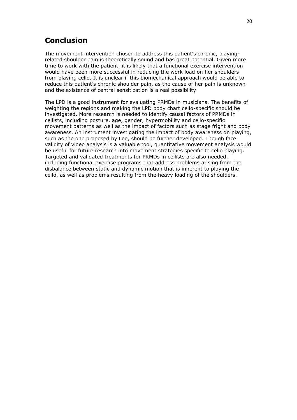# **Conclusion**

The movement intervention chosen to address this patient's chronic, playingrelated shoulder pain is theoretically sound and has great potential. Given more time to work with the patient, it is likely that a functional exercise intervention would have been more successful in reducing the work load on her shoulders from playing cello. It is unclear if this biomechanical approach would be able to reduce this patient's chronic shoulder pain, as the cause of her pain is unknown and the existence of central sensitization is a real possibility.

The LPD is a good instrument for evaluating PRMDs in musicians. The benefits of weighting the regions and making the LPD body chart cello-specific should be investigated. More research is needed to identify causal factors of PRMDs in cellists, including posture, age, gender, hypermobility and cello-specific movement patterns as well as the impact of factors such as stage fright and body awareness. An instrument investigating the impact of body awareness on playing, such as the one proposed by Lee, should be further developed. Though face validity of video analysis is a valuable tool, quantitative movement analysis would be useful for future research into movement strategies specific to cello playing. Targeted and validated treatments for PRMDs in cellists are also needed, including functional exercise programs that address problems arising from the disbalance between static and dynamic motion that is inherent to playing the cello, as well as problems resulting from the heavy loading of the shoulders.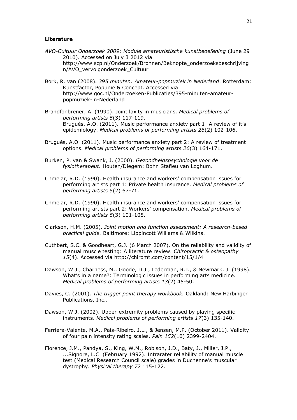#### **Literature**

- *AVO-Cultuur Onderzoek 2009: Module amateuristische kunstbeoefening* (June 29 2010). Accessed on July 3 2012 via http://www.scp.nl/Onderzoek/Bronnen/Beknopte\_onderzoeksbeschrijving n/AVO\_vervolgonderzoek\_Cultuur
- Bork, R. van (2008). *395 minuten: Amateur-popmuziek in Nederland*. Rotterdam: Kunstfactor, Popunie & Concept. Accessed via http://www.goc.nl/Onderzoeken-Publicaties/395-minuten-amateurpopmuziek-in-Nederland
- Brandfonbrener, A. (1990). Joint laxity in musicians. *Medical problems of performing artists 5*(3) 117-119. Brugués, A.O. (2011). Music performance anxiety part 1: A review of it's epidemiology. *Medical problems of performing artists 26*(2) 102-106.
- Brugués, A.O. (2011). Music performance anxiety part 2: A review of treatment options. *Medical problems of performing artists 26*(3) 164-171.
- Burken, P. van & Swank, J. (2000). *Gezondheidspsychologie voor de fysiotherapeut.* Houten/Diegem: Bohn Stafleu van Loghum.
- Chmelar, R.D. (1990). Health insurance and workers' compensation issues for performing artists part 1: Private health insurance. *Medical problems of performing artists 5*(2) 67-71.
- Chmelar, R.D. (1990). Health insurance and workers' compensation issues for performing artists part 2: Workers' compensation. *Medical problems of performing artists 5*(3) 101-105.
- Clarkson, H.M. (2005). *Joint motion and function assessment: A research-based practical guide.* Baltimore: Lippincott Williams & Wilkins.
- Cuthbert, S.C. & Goodheart, G.J. (6 March 2007). On the reliability and validity of manual muscle testing: A literature review. *Chiropractic & osteopathy 15*(4). Accessed via http://chiromt.com/content/15/1/4
- Dawson, W.J., Charness, M., Goode, D.J., Lederman, R.J., & Newmark, J. (1998). What's in a name?: Terminologic issues in performing arts medicine. *Medical problems of performing artists 13*(2) 45-50.
- Davies, C. (2001). *The trigger point therapy workbook.* Oakland: New Harbinger Publications, Inc..
- Dawson, W.J. (2002). Upper-extremity problems caused by playing specific instruments. *Medical problems of performing artists 17*(3) 135-140.
- Ferriera-Valente, M.A., Pais-Ribeiro. J.L., & Jensen, M.P. (October 2011). Validity of four pain intensity rating scales. *Pain 152*(10) 2399-2404.
- Florence, J.M., Pandya, S., King, W.M., Robison, J.D., Baty, J., Miller, J.P., ...Signore, L.C. (February 1992). Intrarater reliability of manual muscle test (Medical Research Council scale) grades in Duchenne's muscular dystrophy. *Physical therapy 72* 115-122.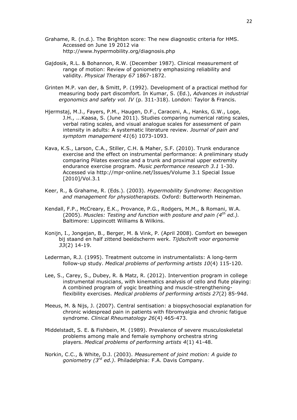- Grahame, R. (n.d.). The Brighton score: The new diagnostic criteria for HMS. Accessed on June 19 2012 via http://www.hypermobility.org/diagnosis.php
- Gajdosik, R.L. & Bohannon, R.W. (December 1987). Clinical measurement of range of motion: Review of goniometry emphasizing reliability and validity. *Physical Therapy 67* 1867-1872.
- Grinten M.P. van der, & Smitt, P. (1992). Development of a practical method for measuring body part discomfort*.* In Kumar, S. (Ed.), *Advances in industrial ergonomics and safety vol. IV* (p. 311-318). London: Taylor & Francis.
- Hjermstaj, M.J., Fayers, P.M., Haugen, D.F., Caraceni, A., Hanks, G.W., Loge, J.H., ...Kaasa, S. (June 2011). Studies comparing numerical rating scales, verbal rating scales, and visual analogue scales for assessment of pain intensity in adults: A systematic literature review. *Journal of pain and symptom management 41*(6) 1073-1093.
- Kava, K.S., Larson, C.A., Stiller, C.H. & Maher, S.F. (2010). Trunk endurance exercise and the effect on instrumental performance: A preliminary study comparing Pilates exercise and a trunk and proximal upper extremity endurance exercise program. *Music performance research 3.1* 1-30. Accessed via http://mpr-online.net/Issues/Volume 3.1 Special Issue [2010]/Vol.3.1
- Keer, R., & Grahame, R. (Eds.). (2003). *Hypermobility Syndrome: Recognition and management for physiotherapists.* Oxford: Butterworth Heineman.
- Kendall, F.P., McCreary, E.K., Provance, P.G., Rodgers, M.M., & Romani, W.A. (2005). *Muscles: Testing and function with posture and pain (4th ed.).* Baltimore: Lippincott Williams & Wilkins.
- Konijn, I., Jongejan, B., Berger, M. & Vink, P. (April 2008). Comfort en bewegen bij staand en half zittend beeldscherm werk. *Tijdschrift voor ergonomie 33*(2) 14-19.
- Lederman, R.J. (1995). Treatment outcome in instrumentalists: A long-term follow-up study. *Medical problems of performing artists 10*(4) 115-120.
- Lee, S., Carey, S., Dubey, R. & Matz, R. (2012). Intervention program in college instrumental musicians, with kinematics analysis of cello and flute playing: A combined program of yogic breathing and muscle-strengtheningflexibility exercises. *Medical problems of performing artists 27*(2) 85-94d.
- Meeus, M. & Nijs, J. (2007). Central sentisation: a biopsychosocial explanation for chronic widespread pain in patients with fibromyalgia and chronic fatigue syndrome. *Clinical Rheumatology 26*(4) 465-473.
- Middelstadt, S. E. & Fishbein, M. (1989). Prevalence of severe musculoskeletal problems among male and female symphony orchestra string players. *Medical problems of performing artists 4*(1) 41-48.
- Norkin, C.C., & White, D.J. (2003). *Measurement of joint motion: A guide to goniometry (3rd ed.)*. Philadelphia: F.A. Davis Company.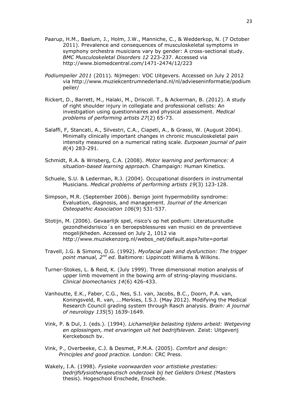- Paarup, H.M., Baelum, J., Holm, J.W., Manniche, C., & Wedderkop, N. (7 October 2011). Prevalence and consequences of musculoskeletal symptoms in symphony orchestra musicians vary by gender: A cross-sectional study. *BMC Musculoskeletal Disorders 12* 223-237. Accessed via http://www.biomedcentral.com/1471-2474/12/223
- *Podiumpeiler 2011* (2011)*.* Nijmegen: VOC Uitgevers. Accessed on July 2 2012 via http://www.muziekcentrumnederland.nl/nl/advieseninformatie/podium peiler/
- Rickert, D., Barrett, M., Halaki, M., Driscoll. T., & Ackerman, B. (2012). A study of right shoulder injury in collegiate and professional cellists: An investigation using questionnaires and physical assessment. *Medical problems of performing artists 27*(2) 65-73.
- Salaffi, F, Stancati, A., Silvestri, C.A., Ciapeti, A., & Grassi, W. (August 2004). Minimally clinically important changes in chronic musculoskeletal pain intensity measured on a numerical rating scale. *Eurpoean journal of pain 8*(4) 283-291.
- Schmidt, R.A. & Wrisberg, C.A. (2008). *Motor learning and performance: A situation-based learning approach.* Champaign: Human Kinetics.
- Schuele, S.U. & Lederman, R.J. (2004). Occupational disorders in instrumental Musicians. *Medical problems of performing artists 19*(3) 123-128.
- Simpson, M.R. (September 2006). Benign joint hypermobility syndrome: Evaluation, diagnosis, and management. *Journal of the American Osteopathic Association 106*(9) 531-537.
- Stotijn, M. (2006). Gevaarlijk spel, risico's op het podium: Literatuurstudie gezondheidsrisico´s en beroepsblessures van musici en de preventieve mogelijkheden*.* Accessed on July 2, 1012 via http://www.muziekenzorg.nl/webos\_net/default.aspx?site=portal
- Travell, J.G. & Simons, D.G. (1992). *Myofacial pain and dysfunction: The trigger point manual, 2nd ed.* Baltimore: Lippincott Williams & Wilkins.
- Turner-Stokes, L. & Reid, K. (July 1999). Three dimensional motion analysis of upper limb movement in the bowing arm of string-playing musicians. *Clinical biomechanics 14*(6) 426-433.
- Vanhoutte, E.K., Faber, C.G., Nes, S.I. van, Jacobs, B.C., Doorn, P.A. van, Koningsveld, R. van, ...Merkies, I.S.J. (May 2012). Modifying the Medical Research Council grading system through Rasch analysis. *Brain: A journal of neurology 135*(5) 1639-1649.
- Vink, P. & Dul, J. (eds.). (1994). *Lichamelijke belasting tijdens arbeid: Wetgeving en oplossingen, met ervaringen uit het bedrijfsleven.* Zeist: Uitgeverij Kerckebosch bv.
- Vink, P., Overbeeke, C.J. & Desmet, P.M.A. (2005). *Comfort and design: Principles and good practice.* London: CRC Press.
- Wakely, I.A. (1998). *Fysieke voorwaarden voor artistieke prestaties: bedrijfsfysiotherapeutisch onderzoek bij het Gelders Orkest (*Masters thesis). Hogeschool Enschede, Enschede.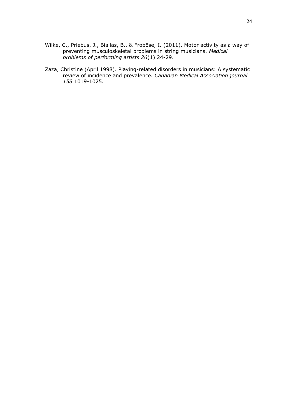- Wilke, C., Priebus, J., Biallas, B., & Froböse, I. (2011). Motor activity as a way of preventing musculoskeletal problems in string musicians. *Medical problems of performing artists 26*(1) 24-29.
- Zaza, Christine (April 1998). Playing-related disorders in musicians: A systematic review of incidence and prevalence. *Canadian Medical Association journal 158* 1019-1025.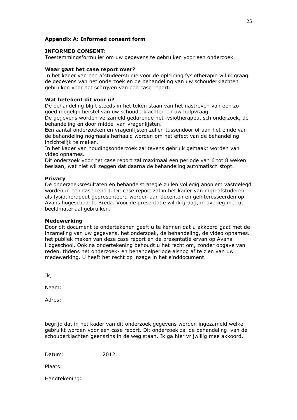### **Appendix A: Informed consent form**

#### **INFORMED CONSENT:**

Toestemmingsformulier om uw gegevens te gebruiken voor een onderzoek.

#### **Waar gaat het case report over?**

In het kader van een afstudeerstudie voor de opleiding fysiotherapie wil ik graag de gegevens van het onderzoek en de behandeling van uw schouderklachten gebruiken voor het schrijven van een case report.

#### **Wat betekent dit voor u?**

De behandeling blijft steeds in het teken staan van het nastreven van een zo goed mogelijk herstel van uw schouderklachten en uw hulpvraag.

De gegevens worden verzameld gedurende het fysiotherapeutisch onderzoek, de behandeling en door middel van vragenlijsten.

Een aantal onderzoeken en vragenlijsten zullen tussendoor of aan het einde van de behandeling nogmaals herhaald worden om het effect van de behandeling inzichtelijk te maken.

In het kader van houdingsonderzoek zal tevens gebruik gemaakt worden van video opnames.

Dit onderzoek voor het case report zal maximaal een periode van 6 tot 8 weken beslaan, wat niet wil zeggen dat daarna de behandeling automatisch stopt.

#### **Privacy**

De onderzoeksresultaten en behandelstrategie zullen volledig anoniem vastgelegd worden in een case report. Dit case report zal in het kader van mijn afstuderen als fysiotherapeut gepresenteerd worden aan docenten en geïnteresseerden op Avans hogeschool te Breda. Voor de presentatie wil ik graag, in overleg met u, beeldmateriaal gebruiken.

#### **Medewerking**

Door dit document te ondertekenen geeft u te kennen dat u akkoord gaat met de inzameling van uw gegevens, het onderzoek, de behandeling, de video opnames. het publiek maken van deze case report en de presentatie ervan op Avans Hogeschool. Ook na ondertekening behoudt u het recht om, zonder opgave van reden, tijdens het onderzoek- en behandelperiode alsnog af te zien van uw medewerking. U heeft het recht op inzage in het einddocument.

Ik,

Naam:

Adres:

begrijp dat in het kader van dit onderzoek gegevens worden ingezameld welke gebruikt worden voor een case report. Dit onderzoek zal de behandeling van de schouderklachten geenszins in de weg staan. Ik ga hier vrijwillig mee akkoord.

Datum: 2012

Plaats:

Handtekening: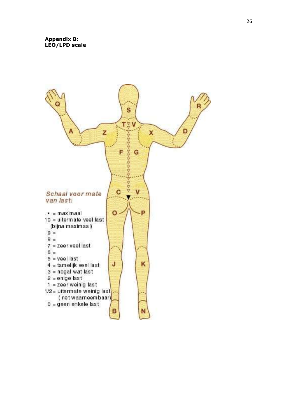# **Appendix B: LEO/LPD scale**

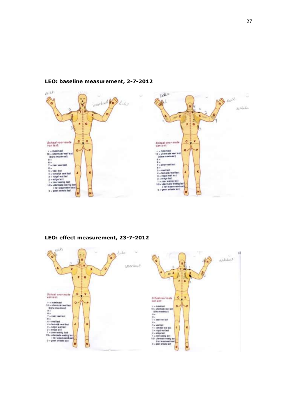

# **LEO: baseline measurement, 2-7-2012**

**LEO: effect measurement, 23-7-2012**

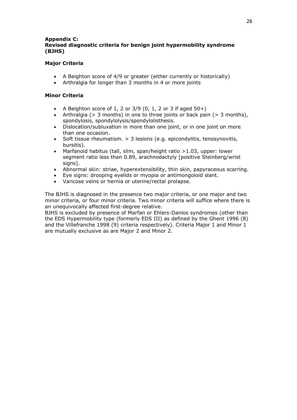# **Appendix C: Revised diagnostic criteria for benign joint hypermobility syndrome (BJHS)**

# **Major Criteria**

- A Beighton score of 4/9 or greater (either currently or historically)
- Arthralgia for longer than 3 months in 4 or more joints

# **Minor Criteria**

- A Beighton score of 1, 2 or  $3/9$  (0, 1, 2 or 3 if aged  $50+$ )
- Arthralgia (> 3 months) in one to three joints or back pain (> 3 months), spondylosis, spondylolysis/spondylolisthesis.
- Dislocation/subluxation in more than one joint, or in one joint on more than one occasion.
- Soft tissue rheumatism. > 3 lesions (e.g. epicondylitis, tenosynovitis, bursitis).
- Marfanoid habitus (tall, slim, span/height ratio >1.03, upper: lower segment ratio less than 0.89, arachnodactyly [positive Steinberg/wrist signs].
- Abnormal skin: striae, hyperextensibility, thin skin, papyraceous scarring.
- Eye signs: drooping eyelids or myopia or antimongoloid slant.
- Varicose veins or hernia or uterine/rectal prolapse.

The BJHS is diagnosed in the presence two major criteria, or one major and two minor criteria, or four minor criteria. Two minor criteria will suffice where there is an unequivocally affected first-degree relative.

BJHS is excluded by presence of Marfan or Ehlers-Danlos syndromes (other than the EDS Hypermobility type (formerly EDS III) as defined by the Ghent 1996 (8) and the Villefranche 1998 (9) criteria respectively). Criteria Major 1 and Minor 1 are mutually exclusive as are Major 2 and Minor 2.